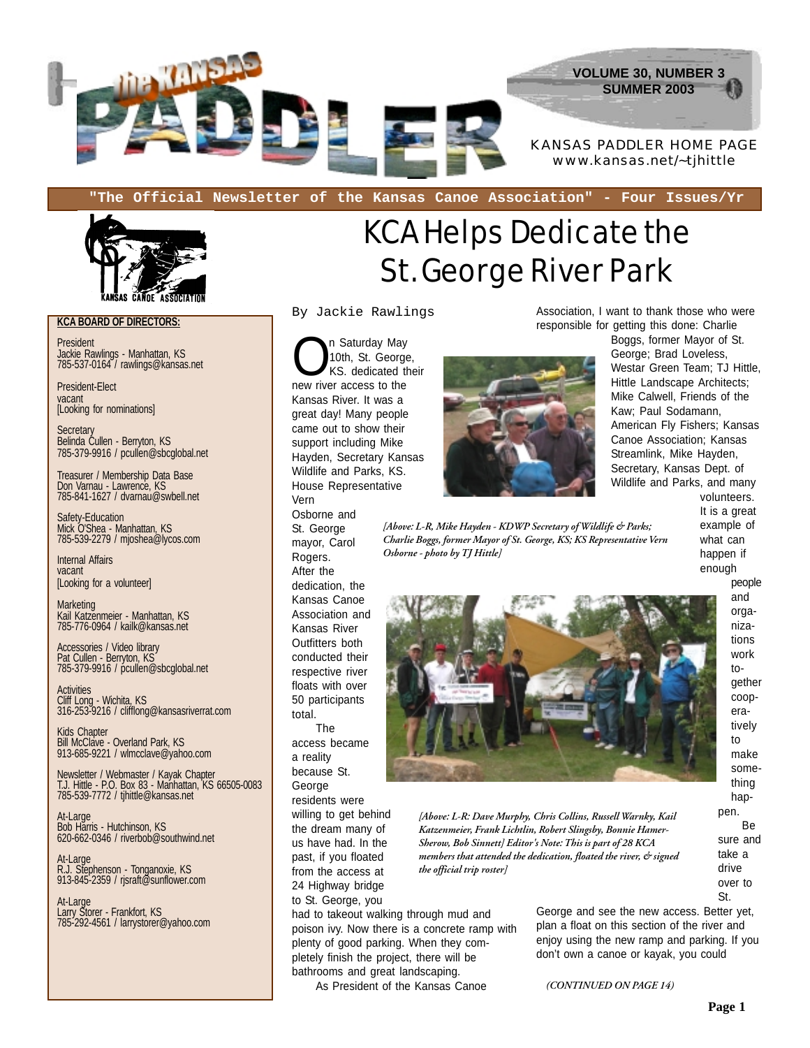

**"The Official Newsletter of the Kansas Canoe Association" - Four Issues/Yr**



**KCA BOARD OF DIRECTORS:**

President Jackie Rawlings - Manhattan, KS 785-537-0164 / rawlings@kansas.net

President-Elect vacant [Looking for nominations]

**Secretary** Belinda Cullen - Berryton, KS 785-379-9916 / pcullen@sbcglobal.net

Treasurer / Membership Data Base Don Varnau - Lawrence, KS 785-841-1627 / dvarnau@swbell.net

Safety-Education Mick O'Shea - Manhattan, KS 785-539-2279 / mjoshea@lycos.com

Internal Affairs vacant [Looking for a volunteer]

**Marketing** Kail Katzenmeier - Manhattan, KS 785-776-0964 / kailk@kansas.net

Accessories / Video library Pat Cullen - Berryton, KS 785-379-9916 / pcullen@sbcglobal.net

**Activities** Cliff Long - Wichita, KS 316-253-9216 / clifflong@kansasriverrat.com

Kids Chapter Bill McClave - Overland Park, KS 913-685-9221 / wlmcclave@yahoo.com

Newsletter / Webmaster / Kayak Chapter T.J. Hittle - P.O. Box 83 - Manhattan, KS 66505-0083 785-539-7772 / tjhittle@kansas.net

At-Large Bob Harris - Hutchinson, KS 620-662-0346 / riverbob@southwind.net

At-Large R.J. Stephenson - Tonganoxie, KS 913-845-2359 / rjsraft@sunflower.com

At-Large Larry Storer - Frankfort, KS 785-292-4561 / larrystorer@yahoo.com

## KCA Helps Dedicate the St. George River Park

By Jackie Rawlings

n Saturday May<br>10th, St. George<br>KS. dedicated the 10th, St. George, KS. dedicated their new river access to the Kansas River. It was a great day! Many people came out to show their support including Mike Hayden, Secretary Kansas Wildlife and Parks, KS. House Representative Vern

Osborne and St. George mayor, Carol Rogers. After the dedication, the Kansas Canoe Association and Kansas River Outfitters both conducted their respective river floats with over 50 participants total.

The access became a reality because St. George

residents were

willing to get behind the dream many of us have had. In the past, if you floated from the access at 24 Highway bridge to St. George, you

had to takeout walking through mud and poison ivy. Now there is a concrete ramp with plenty of good parking. When they completely finish the project, there will be bathrooms and great landscaping.

As President of the Kansas Canoe

Association, I want to thank those who were responsible for getting this done: Charlie

> Boggs, former Mayor of St. George; Brad Loveless, Westar Green Team; TJ Hittle, Hittle Landscape Architects; Mike Calwell, Friends of the Kaw; Paul Sodamann, American Fly Fishers; Kansas Canoe Association; Kansas Streamlink, Mike Hayden, Secretary, Kansas Dept. of Wildlife and Parks, and many

> > volunteers. It is a great example of what can happen if enough people

> > > and orga-



*[Above: L-R, Mike Hayden - KDWP Secretary of Wildlife & Parks; Charlie Boggs, former Mayor of St. George, KS; KS Representative Vern*

*Osborne - photo by TJ Hittle]*

*[Above: L-R: Dave Murphy, Chris Collins, Russell Warnky, Kail Katzenmeier, Frank Lichtlin, Robert Slingsby, Bonnie Hamer-Sherow, Bob Sinnett] Editor's Note: This is part of 28 KCA members that attended the dedication, floated the river, & signed the official trip roster]*

> George and see the new access. Better yet, plan a float on this section of the river and enjoy using the new ramp and parking. If you don't own a canoe or kayak, you could

*(CONTINUED ON PAGE 14)*

nizations work together cooperatively to make something happen. Be sure and take a drive over to St.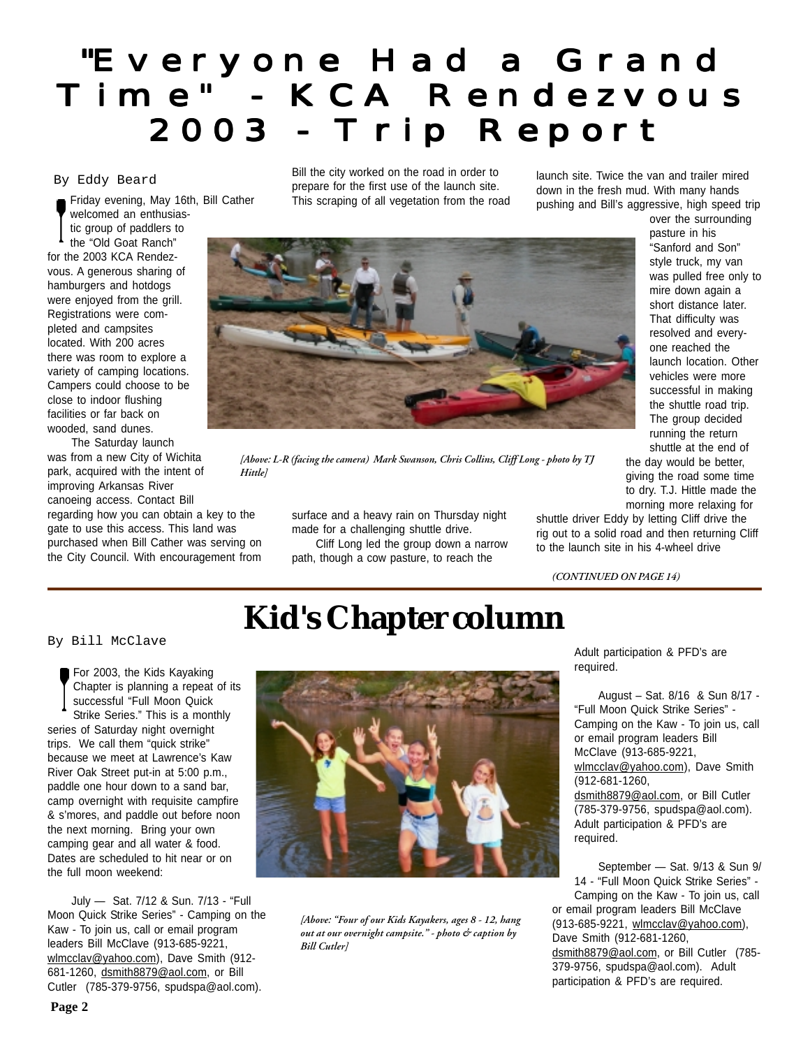## "Everyone Had a Grand Time" - KCA Rendezvous Time" - KCA Rendezvous 2003 - Trip Report 2003 - Trip Report

### By Eddy Beard

Friday evening, May 16th, Bill Cather welcomed an enthusiastic group of paddlers to the "Old Goat Ranch" for the 2003 KCA Rendezvous. A generous sharing of hamburgers and hotdogs were enjoyed from the grill. Registrations were completed and campsites located. With 200 acres there was room to explore a variety of camping locations. Campers could choose to be close to indoor flushing facilities or far back on wooded, sand dunes.

The Saturday launch was from a new City of Wichita park, acquired with the intent of improving Arkansas River canoeing access. Contact Bill regarding how you can obtain a key to the

gate to use this access. This land was purchased when Bill Cather was serving on the City Council. With encouragement from Bill the city worked on the road in order to prepare for the first use of the launch site. This scraping of all vegetation from the road

launch site. Twice the van and trailer mired down in the fresh mud. With many hands pushing and Bill's aggressive, high speed trip



*[Above: L-R (facing the camera) Mark Swanson, Chris Collins, Cliff Long - photo by TJ Hittle]*

surface and a heavy rain on Thursday night made for a challenging shuttle drive. Cliff Long led the group down a narrow path, though a cow pasture, to reach the

pasture in his "Sanford and Son" style truck, my van was pulled free only to mire down again a short distance later. That difficulty was resolved and everyone reached the launch location. Other vehicles were more successful in making the shuttle road trip. The group decided running the return shuttle at the end of the day would be better, giving the road some time to dry. T.J. Hittle made the morning more relaxing for

over the surrounding

shuttle driver Eddy by letting Cliff drive the rig out to a solid road and then returning Cliff to the launch site in his 4-wheel drive

*(CONTINUED ON PAGE 14)*

required.

## **Kid's Chapter column**

By Bill McClave

For 2003, the Kids Kayaking Chapter is planning a repeat of its successful "Full Moon Quick Strike Series." This is a monthly series of Saturday night overnight trips. We call them "quick strike" because we meet at Lawrence's Kaw River Oak Street put-in at 5:00 p.m., paddle one hour down to a sand bar, camp overnight with requisite campfire & s'mores, and paddle out before noon the next morning. Bring your own camping gear and all water & food. Dates are scheduled to hit near or on the full moon weekend:

July — Sat. 7/12 & Sun. 7/13 - "Full Moon Quick Strike Series" - Camping on the Kaw - To join us, call or email program leaders Bill McClave (913-685-9221, wlmcclav@yahoo.com), Dave Smith (912-681-1260, dsmith8879@aol.com, or Bill Cutler (785-379-9756, spudspa@aol.com).



*[Above: "Four of our Kids Kayakers, ages 8 - 12, hang out at our overnight campsite." - photo & caption by Bill Cutler]*

Adult participation & PFD's are required.

August – Sat. 8/16 & Sun 8/17 - "Full Moon Quick Strike Series" - Camping on the Kaw - To join us, call or email program leaders Bill McClave (913-685-9221, wlmcclav@yahoo.com), Dave Smith (912-681-1260, dsmith8879@aol.com, or Bill Cutler (785-379-9756, spudspa@aol.com). Adult participation & PFD's are

September — Sat. 9/13 & Sun 9/ 14 - "Full Moon Quick Strike Series" - Camping on the Kaw - To join us, call or email program leaders Bill McClave (913-685-9221, wlmcclav@yahoo.com), Dave Smith (912-681-1260, dsmith8879@aol.com, or Bill Cutler (785-379-9756, spudspa@aol.com). Adult participation & PFD's are required.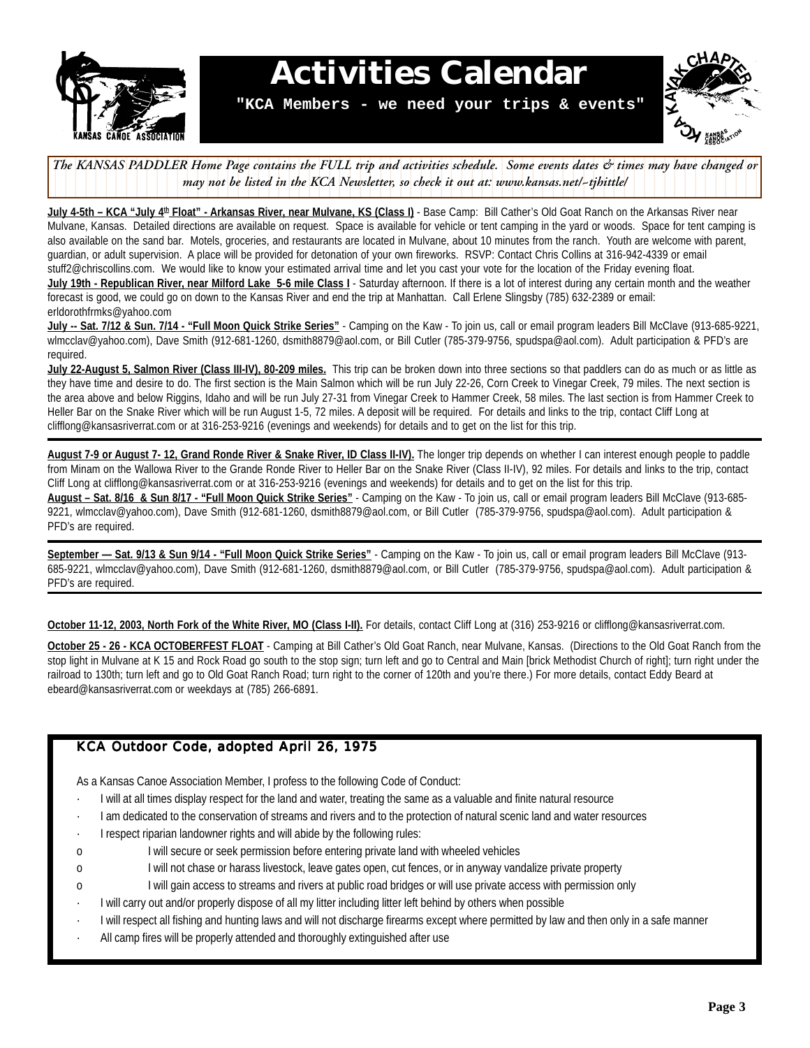

## **Activities Calendar**

**"KCA Members - we need your trips & events"**



The KANSAS PADDLER Home Page contains the FULL trip and activities schedule. Some events dates & times may have changed or 1 7 1 7 *may not be listed in the KCA Newsletter, so check it out at: www.kansas.net/~tjhittle/* 12345678901234567890123456789012123456789012345678901234567890121234567

**July 4-5th – KCA "July 4th Float" - Arkansas River, near Mulvane, KS (Class I)** - Base Camp: Bill Cather's Old Goat Ranch on the Arkansas River near Mulvane, Kansas. Detailed directions are available on request. Space is available for vehicle or tent camping in the yard or woods. Space for tent camping is also available on the sand bar. Motels, groceries, and restaurants are located in Mulvane, about 10 minutes from the ranch. Youth are welcome with parent, guardian, or adult supervision. A place will be provided for detonation of your own fireworks. RSVP: Contact Chris Collins at 316-942-4339 or email stuff2@chriscollins.com. We would like to know your estimated arrival time and let you cast your vote for the location of the Friday evening float. **July 19th - Republican River, near Milford Lake 5-6 mile Class I** - Saturday afternoon. If there is a lot of interest during any certain month and the weather

forecast is good, we could go on down to the Kansas River and end the trip at Manhattan. Call Erlene Slingsby (785) 632-2389 or email: erldorothfrmks@yahoo.com

**July -- Sat. 7/12 & Sun. 7/14 - "Full Moon Quick Strike Series"** - Camping on the Kaw - To join us, call or email program leaders Bill McClave (913-685-9221, wlmcclav@yahoo.com), Dave Smith (912-681-1260, dsmith8879@aol.com, or Bill Cutler (785-379-9756, spudspa@aol.com). Adult participation & PFD's are required.

**July 22-August 5, Salmon River (Class III-IV), 80-209 miles.** This trip can be broken down into three sections so that paddlers can do as much or as little as they have time and desire to do. The first section is the Main Salmon which will be run July 22-26, Corn Creek to Vinegar Creek, 79 miles. The next section is the area above and below Riggins, Idaho and will be run July 27-31 from Vinegar Creek to Hammer Creek, 58 miles. The last section is from Hammer Creek to Heller Bar on the Snake River which will be run August 1-5, 72 miles. A deposit will be required. For details and links to the trip, contact Cliff Long at clifflong@kansasriverrat.com or at 316-253-9216 (evenings and weekends) for details and to get on the list for this trip.

**August 7-9 or August 7- 12, Grand Ronde River & Snake River, ID Class II-IV).** The longer trip depends on whether I can interest enough people to paddle from Minam on the Wallowa River to the Grande Ronde River to Heller Bar on the Snake River (Class II-IV), 92 miles. For details and links to the trip, contact Cliff Long at clifflong@kansasriverrat.com or at 316-253-9216 (evenings and weekends) for details and to get on the list for this trip.

**August – Sat. 8/16 & Sun 8/17 - "Full Moon Quick Strike Series"** - Camping on the Kaw - To join us, call or email program leaders Bill McClave (913-685- 9221, wlmcclav@yahoo.com), Dave Smith (912-681-1260, dsmith8879@aol.com, or Bill Cutler (785-379-9756, spudspa@aol.com). Adult participation & PFD's are required.

**September — Sat. 9/13 & Sun 9/14 - "Full Moon Quick Strike Series"** - Camping on the Kaw - To join us, call or email program leaders Bill McClave (913- 685-9221, wlmcclav@yahoo.com), Dave Smith (912-681-1260, dsmith8879@aol.com, or Bill Cutler (785-379-9756, spudspa@aol.com). Adult participation & PFD's are required.

**October 11-12, 2003, North Fork of the White River, MO (Class I-II).** For details, contact Cliff Long at (316) 253-9216 or clifflong@kansasriverrat.com.

**October 25 - 26 - KCA OCTOBERFEST FLOAT** - Camping at Bill Cather's Old Goat Ranch, near Mulvane, Kansas. (Directions to the Old Goat Ranch from the stop light in Mulvane at K 15 and Rock Road go south to the stop sign; turn left and go to Central and Main [brick Methodist Church of right]; turn right under the railroad to 130th; turn left and go to Old Goat Ranch Road; turn right to the corner of 120th and you're there.) For more details, contact Eddy Beard at ebeard@kansasriverrat.com or weekdays at (785) 266-6891.

### KCA Outdoor Code, adopted April 26, 1975

As a Kansas Canoe Association Member, I profess to the following Code of Conduct:

- I will at all times display respect for the land and water, treating the same as a valuable and finite natural resource
- · I am dedicated to the conservation of streams and rivers and to the protection of natural scenic land and water resources
- · I respect riparian landowner rights and will abide by the following rules:
- o I will secure or seek permission before entering private land with wheeled vehicles
- o I will not chase or harass livestock, leave gates open, cut fences, or in anyway vandalize private property
- o I will gain access to streams and rivers at public road bridges or will use private access with permission only
- I will carry out and/or properly dispose of all my litter including litter left behind by others when possible
- · I will respect all fishing and hunting laws and will not discharge firearms except where permitted by law and then only in a safe manner
- All camp fires will be properly attended and thoroughly extinguished after use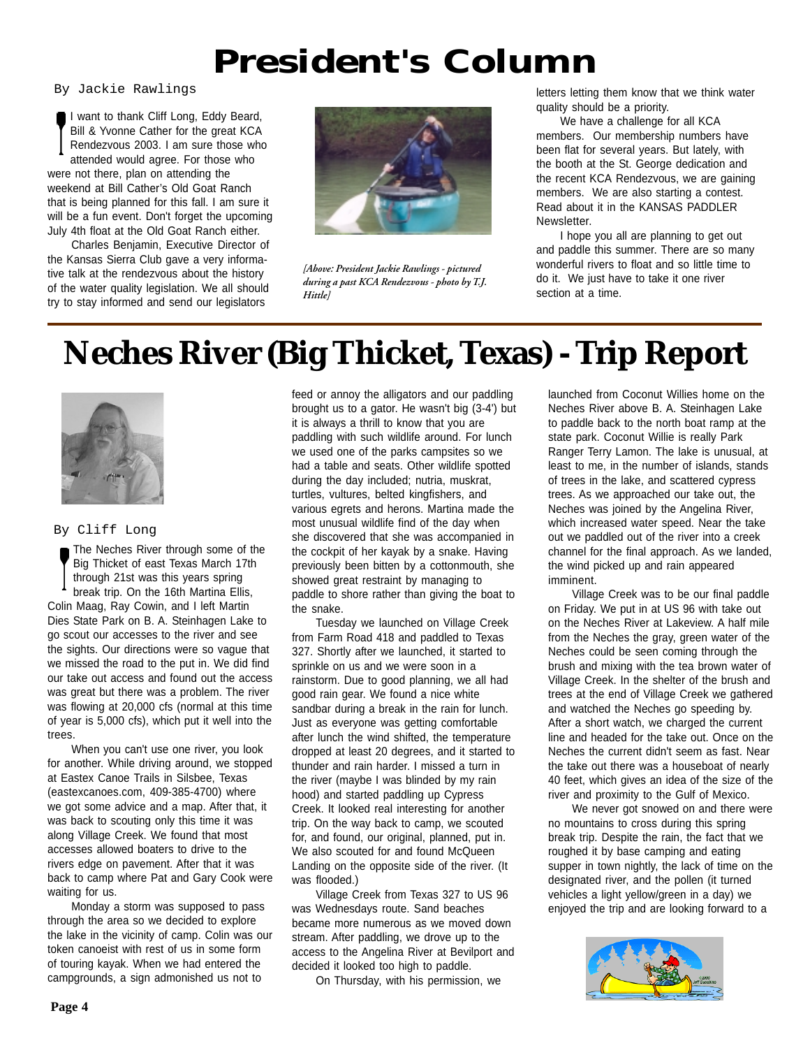## **President's Column**

I want to thank Cliff Long, Eddy Beard, Bill & Yvonne Cather for the great KCA Rendezvous 2003. I am sure those who attended would agree. For those who were not there, plan on attending the weekend at Bill Cather's Old Goat Ranch that is being planned for this fall. I am sure it will be a fun event. Don't forget the upcoming July 4th float at the Old Goat Ranch either.

Charles Benjamin, Executive Director of the Kansas Sierra Club gave a very informative talk at the rendezvous about the history of the water quality legislation. We all should try to stay informed and send our legislators



*[Above: President Jackie Rawlings - pictured during a past KCA Rendezvous - photo by T.J. Hittle]*

By Jackie Rawlings and the metal of the letters letting them know that we think water quality should be a priority.

> We have a challenge for all KCA members. Our membership numbers have been flat for several years. But lately, with the booth at the St. George dedication and the recent KCA Rendezvous, we are gaining members. We are also starting a contest. Read about it in the KANSAS PADDLER Newsletter.

> I hope you all are planning to get out and paddle this summer. There are so many wonderful rivers to float and so little time to do it. We just have to take it one river section at a time.

## **Neches River (Big Thicket, Texas) - Trip Report**



### By Cliff Long

The Neches River through some of the Big Thicket of east Texas March 17th through 21st was this years spring break trip. On the 16th Martina Ellis, Colin Maag, Ray Cowin, and I left Martin Dies State Park on B. A. Steinhagen Lake to go scout our accesses to the river and see the sights. Our directions were so vague that we missed the road to the put in. We did find our take out access and found out the access was great but there was a problem. The river was flowing at 20,000 cfs (normal at this time of year is 5,000 cfs), which put it well into the trees.

When you can't use one river, you look for another. While driving around, we stopped at Eastex Canoe Trails in Silsbee, Texas (eastexcanoes.com, 409-385-4700) where we got some advice and a map. After that, it was back to scouting only this time it was along Village Creek. We found that most accesses allowed boaters to drive to the rivers edge on pavement. After that it was back to camp where Pat and Gary Cook were waiting for us.

Monday a storm was supposed to pass through the area so we decided to explore the lake in the vicinity of camp. Colin was our token canoeist with rest of us in some form of touring kayak. When we had entered the campgrounds, a sign admonished us not to

feed or annoy the alligators and our paddling brought us to a gator. He wasn't big (3-4') but it is always a thrill to know that you are paddling with such wildlife around. For lunch we used one of the parks campsites so we had a table and seats. Other wildlife spotted during the day included; nutria, muskrat, turtles, vultures, belted kingfishers, and various egrets and herons. Martina made the most unusual wildlife find of the day when she discovered that she was accompanied in the cockpit of her kayak by a snake. Having previously been bitten by a cottonmouth, she showed great restraint by managing to paddle to shore rather than giving the boat to the snake.

Tuesday we launched on Village Creek from Farm Road 418 and paddled to Texas 327. Shortly after we launched, it started to sprinkle on us and we were soon in a rainstorm. Due to good planning, we all had good rain gear. We found a nice white sandbar during a break in the rain for lunch. Just as everyone was getting comfortable after lunch the wind shifted, the temperature dropped at least 20 degrees, and it started to thunder and rain harder. I missed a turn in the river (maybe I was blinded by my rain hood) and started paddling up Cypress Creek. It looked real interesting for another trip. On the way back to camp, we scouted for, and found, our original, planned, put in. We also scouted for and found McQueen Landing on the opposite side of the river. (It was flooded.)

Village Creek from Texas 327 to US 96 was Wednesdays route. Sand beaches became more numerous as we moved down stream. After paddling, we drove up to the access to the Angelina River at Bevilport and decided it looked too high to paddle.

On Thursday, with his permission, we

launched from Coconut Willies home on the Neches River above B. A. Steinhagen Lake to paddle back to the north boat ramp at the state park. Coconut Willie is really Park Ranger Terry Lamon. The lake is unusual, at least to me, in the number of islands, stands of trees in the lake, and scattered cypress trees. As we approached our take out, the Neches was joined by the Angelina River, which increased water speed. Near the take out we paddled out of the river into a creek channel for the final approach. As we landed, the wind picked up and rain appeared imminent.

Village Creek was to be our final paddle on Friday. We put in at US 96 with take out on the Neches River at Lakeview. A half mile from the Neches the gray, green water of the Neches could be seen coming through the brush and mixing with the tea brown water of Village Creek. In the shelter of the brush and trees at the end of Village Creek we gathered and watched the Neches go speeding by. After a short watch, we charged the current line and headed for the take out. Once on the Neches the current didn't seem as fast. Near the take out there was a houseboat of nearly 40 feet, which gives an idea of the size of the river and proximity to the Gulf of Mexico.

We never got snowed on and there were no mountains to cross during this spring break trip. Despite the rain, the fact that we roughed it by base camping and eating supper in town nightly, the lack of time on the designated river, and the pollen (it turned vehicles a light yellow/green in a day) we enjoyed the trip and are looking forward to a

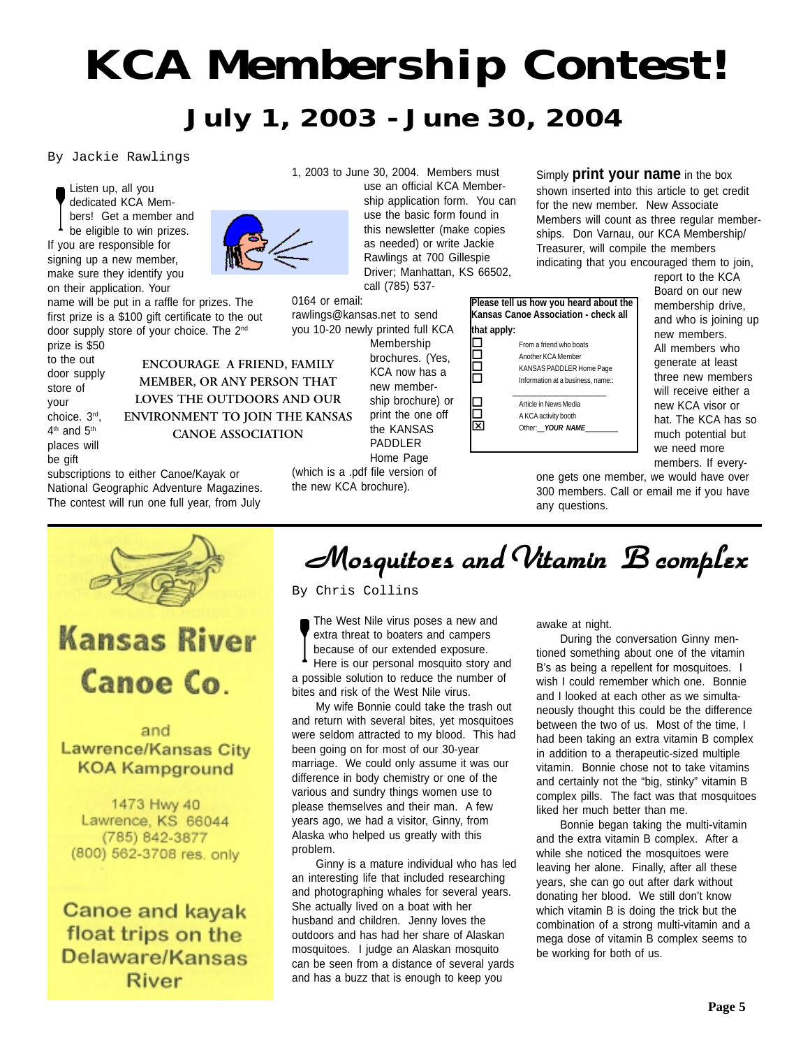# *KCA Membership Contest! July 1, 2003 - June 30, 2004*

By Jackie Rawlings

Listen up, all you dedicated KCA Members! Get a member and be eligible to win prizes. If you are responsible for signing up a new member, make sure they identify you on their application. Your

name will be put in a raffle for prizes. The first prize is a \$100 gift certificate to the out door supply store of your choice. The 2<sup>nd</sup> prize is \$50

to the out door supply store of your choice. 3rd, 4<sup>th</sup> and 5<sup>th</sup> places will be gift

**ENCOURAGE A FRIEND, FAMILY MEMBER, OR ANY PERSON THAT LOVES THE OUTDOORS AND OUR ENVIRONMENT TO JOIN THE KANSAS CANOE ASSOCIATION**

subscriptions to either Canoe/Kayak or National Geographic Adventure Magazines. The contest will run one full year, from July



1, 2003 to June 30, 2004. Members must

use an official KCA Membership application form. You can use the basic form found in this newsletter (make copies as needed) or write Jackie Rawlings at 700 Gillespie Driver; Manhattan, KS 66502, call (785) 537-

0164 or email: rawlings@kansas.net to send you 10-20 newly printed full KCA Membership brochures. (Yes, KCA now has a new membership brochure) or print the one off the KANSAS PADDLER Home Page (which is a .pdf file version of the new KCA brochure).

Simply **print your name** in the box shown inserted into this article to get credit for the new member. New Associate Members will count as three regular memberships. Don Varnau, our KCA Membership/ Treasurer, will compile the members indicating that you encouraged them to join,

**Please tell us how you heard about the Kansas Canoe Association - check all that apply:** From a friend who boats<br>
Another KCA Member Another KCA Member<br>
KANSAS PADDLER H KANSAS PADDLER Home Page<br>
Information at a business. name:: Information at a business, name:: \_\_\_\_\_\_\_\_\_\_\_\_\_\_\_\_\_\_\_\_\_\_\_\_\_\_ Article in News Media<br>
A KCA activity booth A KCA activity booth<br>
Nother: *YOUR NAI* Other: **YOUR NAME** 

report to the KCA Board on our new membership drive, and who is joining up new members. All members who generate at least three new members will receive either a new KCA visor or hat. The KCA has so much potential but we need more members. If every-

one gets one member, we would have over 300 members. Call or email me if you have any questions.

**Kansas River** Canoe Co.

### and Lawrence/Kansas City **KOA Kampground**

1473 Hwy 40 Lawrence, KS 66044 (785) 842-3877 (800) 562-3708 res. only

**Canoe and kayak** float trips on the Delaware/Kansas River

## *Mosquitoes and V Mosquitoes and Vitamin B complex itamin B complexitamin B complex*

By Chris Collins

The West Nile virus poses a new and extra threat to boaters and campers because of our extended exposure.

Here is our personal mosquito story and a possible solution to reduce the number of bites and risk of the West Nile virus.

My wife Bonnie could take the trash out and return with several bites, yet mosquitoes were seldom attracted to my blood. This had been going on for most of our 30-year marriage. We could only assume it was our difference in body chemistry or one of the various and sundry things women use to please themselves and their man. A few years ago, we had a visitor, Ginny, from Alaska who helped us greatly with this problem.

Ginny is a mature individual who has led an interesting life that included researching and photographing whales for several years. She actually lived on a boat with her husband and children. Jenny loves the outdoors and has had her share of Alaskan mosquitoes. I judge an Alaskan mosquito can be seen from a distance of several yards and has a buzz that is enough to keep you

awake at night.

During the conversation Ginny mentioned something about one of the vitamin B's as being a repellent for mosquitoes. I wish I could remember which one. Bonnie and I looked at each other as we simultaneously thought this could be the difference between the two of us. Most of the time, I had been taking an extra vitamin B complex in addition to a therapeutic-sized multiple vitamin. Bonnie chose not to take vitamins and certainly not the "big, stinky" vitamin B complex pills. The fact was that mosquitoes liked her much better than me.

Bonnie began taking the multi-vitamin and the extra vitamin B complex. After a while she noticed the mosquitoes were leaving her alone. Finally, after all these years, she can go out after dark without donating her blood. We still don't know which vitamin B is doing the trick but the combination of a strong multi-vitamin and a mega dose of vitamin B complex seems to be working for both of us.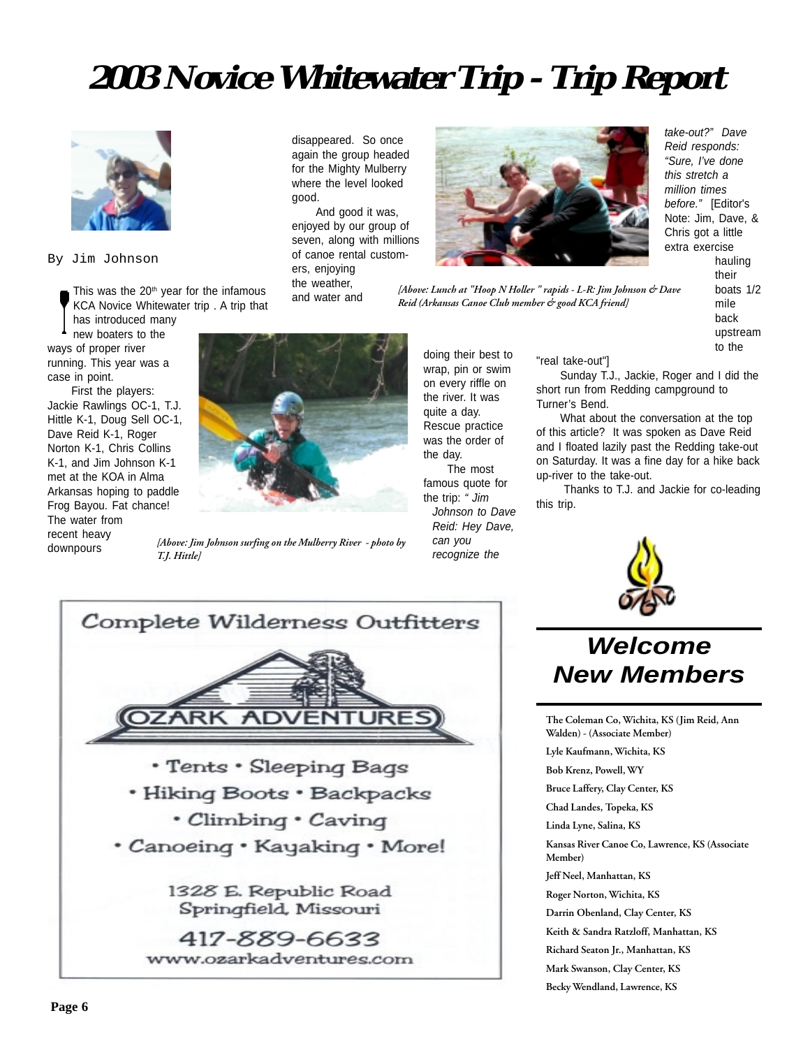## **2003 Novice Whitewater Trip - Trip Report**

disappeared. So once again the group headed for the Mighty Mulberry where the level looked

And good it was, enjoyed by our group of seven, along with millions of canoe rental custom-



By Jim Johnson

This was the 20<sup>th</sup> year for the infamous KCA Novice Whitewater trip . A trip that has introduced many

new boaters to the ways of proper river running. This year was a case in point.

First the players: Jackie Rawlings OC-1, T.J. Hittle K-1, Doug Sell OC-1, Dave Reid K-1, Roger Norton K-1, Chris Collins K-1, and Jim Johnson K-1 met at the KOA in Alma Arkansas hoping to paddle Frog Bayou. Fat chance! The water from recent heavy downpours *[Above: Jim Johnson surfing on the Mulberry River - photo by T.J. Hittle]*

ers, enjoying the weather, and water and

good.



quite a day. Rescue practice was the order of the day. The most famous quote for the trip: *" Jim Johnson to Dave Reid: Hey Dave,*

*can you recognize the*

*take-out?" Dave Reid responds: "Sure, I've done this stretch a million times before."* [Editor's Note: Jim, Dave, & Chris got a little extra exercise hauling their boats 1/2 mile back

> upstream to the

"real take-out"]

Sunday T.J., Jackie, Roger and I did the short run from Redding campground to Turner's Bend.

What about the conversation at the top of this article? It was spoken as Dave Reid and I floated lazily past the Redding take-out on Saturday. It was a fine day for a hike back up-river to the take-out.

 Thanks to T.J. and Jackie for co-leading this trip.



### *Welcome New Members*

**The Coleman Co, Wichita, KS (Jim Reid, Ann Walden) - (Associate Member)**

**Lyle Kaufmann, Wichita, KS**

**Bob Krenz, Powell, WY**

**Bruce Laffery, Clay Center, KS**

**Chad Landes, Topeka, KS**

**Linda Lyne, Salina, KS**

**Kansas River Canoe Co, Lawrence, KS (Associate Member)**

**Jeff Neel, Manhattan, KS**

**Roger Norton, Wichita, KS**

**Darrin Obenland, Clay Center, KS**

**Keith & Sandra Ratzloff, Manhattan, KS**

**Richard Seaton Jr., Manhattan, KS**

**Mark Swanson, Clay Center, KS**

**Becky Wendland, Lawrence, KS**

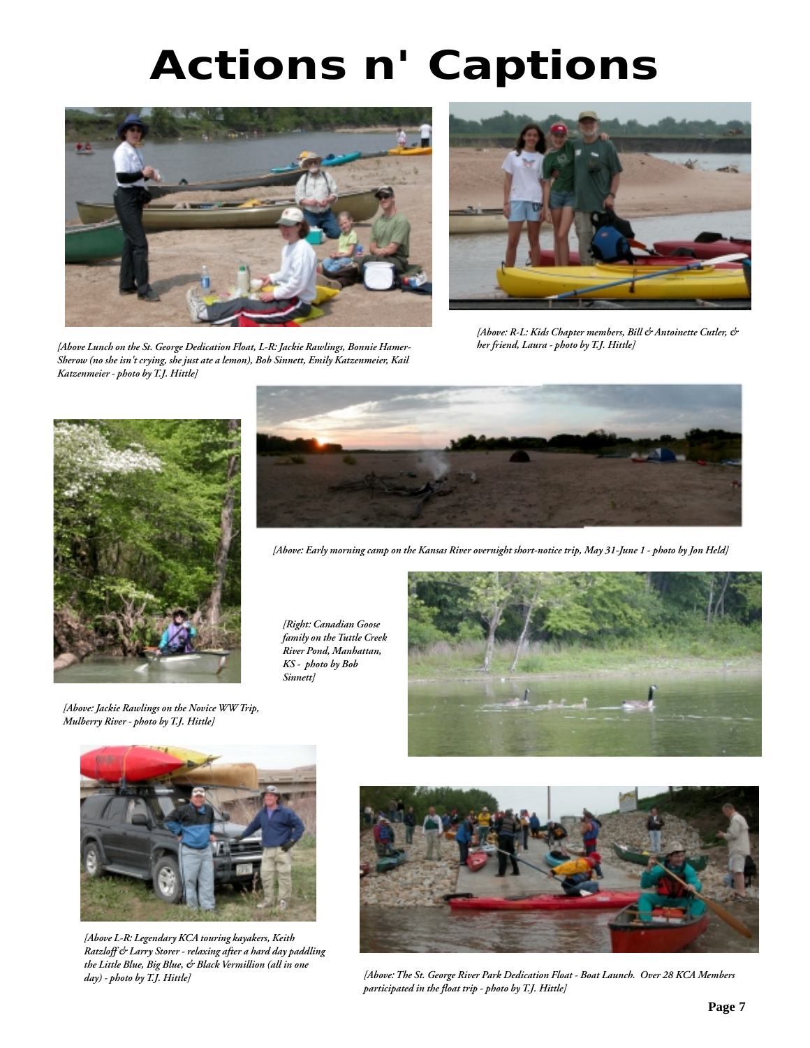# *Actions n' Captions*



*[Above Lunch on the St. George Dedication Float, L-R: Jackie Rawlings, Bonnie Hamer-Sherow (no she isn't crying, she just ate a lemon), Bob Sinnett, Emily Katzenmeier, Kail Katzenmeier - photo by T.J. Hittle]*



*[Above: R-L: Kids Chapter members, Bill & Antoinette Cutler, & her friend, Laura - photo by T.J. Hittle]*



*[Above: Jackie Rawlings on the Novice WW Trip, Mulberry River - photo by T.J. Hittle]*



*[Above: Early morning camp on the Kansas River overnight short-notice trip, May 31-June 1 - photo by Jon Held]*

*[Right: Canadian Goose family on the Tuttle Creek River Pond, Manhattan, KS - photo by Bob Sinnett]*





*[Above L-R: Legendary KCA touring kayakers, Keith Ratzloff & Larry Storer - relaxing after a hard day paddling the Little Blue, Big Blue, & Black Vermillion (all in one day) - photo by T.J. Hittle]*



*[Above: The St. George River Park Dedication Float - Boat Launch. Over 28 KCA Members participated in the float trip - photo by T.J. Hittle]*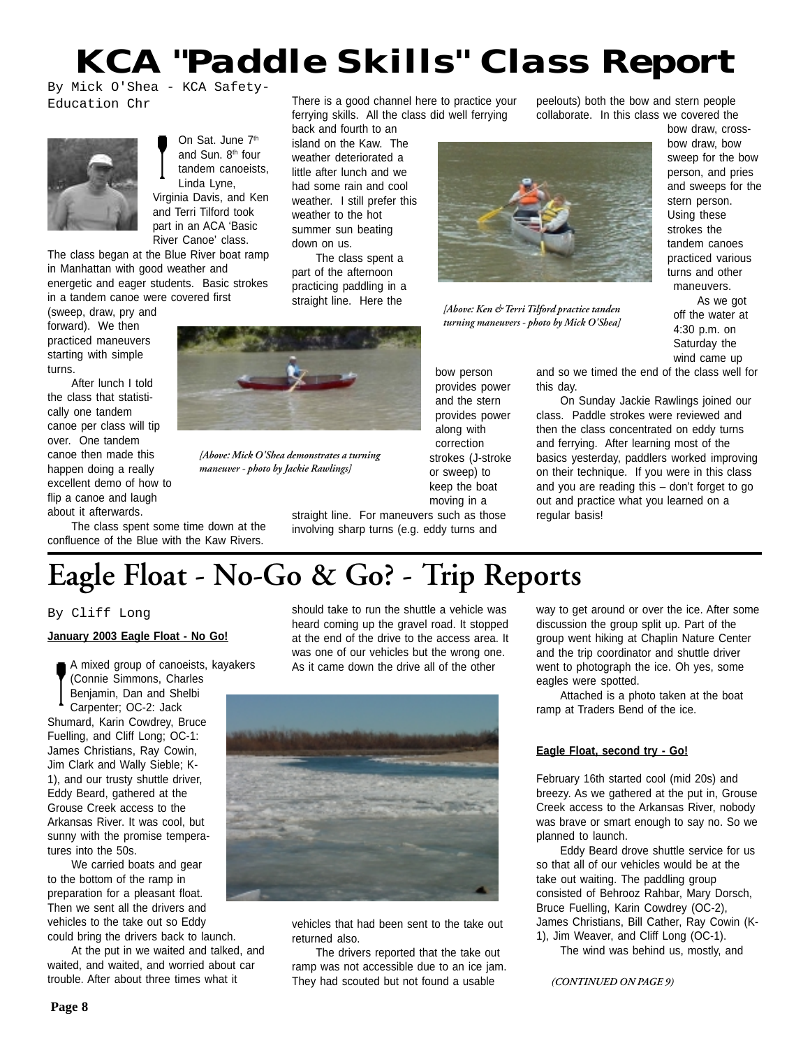## *KCA "Paddle Skills" Class Report*

By Mick O'Shea - KCA Safety-Education Chr



On Sat. June 7<sup>th</sup> and Sun. 8<sup>th</sup> four tandem canoeists, Linda Lyne, Virginia Davis, and Ken and Terri Tilford took part in an ACA 'Basic River Canoe' class.

The class began at the Blue River boat ramp in Manhattan with good weather and energetic and eager students. Basic strokes in a tandem canoe were covered first

(sweep, draw, pry and forward). We then practiced maneuvers starting with simple turns.

After lunch I told the class that statistically one tandem canoe per class will tip over. One tandem canoe then made this happen doing a really excellent demo of how to flip a canoe and laugh about it afterwards.

The class spent some time down at the confluence of the Blue with the Kaw Rivers.

There is a good channel here to practice your ferrying skills. All the class did well ferrying

back and fourth to an island on the Kaw. The weather deteriorated a little after lunch and we had some rain and cool weather. I still prefer this weather to the hot summer sun beating down on us.

The class spent a part of the afternoon practicing paddling in a straight line. Here the



*[Above: Mick O'Shea demonstrates a turning maneuver - photo by Jackie Rawlings]*

straight line. For maneuvers such as those involving sharp turns (e.g. eddy turns and

peelouts) both the bow and stern people collaborate. In this class we covered the



*[Above: Ken & Terri Tilford practice tanden turning maneuvers - photo by Mick O'Shea]* bow draw, crossbow draw, bow sweep for the bow person, and pries and sweeps for the stern person. Using these strokes the tandem canoes practiced various turns and other maneuvers.

As we got off the water at 4:30 p.m. on Saturday the wind came up

and so we timed the end of the class well for this day.

On Sunday Jackie Rawlings joined our class. Paddle strokes were reviewed and then the class concentrated on eddy turns and ferrying. After learning most of the basics yesterday, paddlers worked improving on their technique. If you were in this class and you are reading this – don't forget to go out and practice what you learned on a regular basis!

## **Eagle Float - No-Go & Go? - Trip Reports**

### By Cliff Long

#### **January 2003 Eagle Float - No Go!**

A mixed group of canoeists, kayakers (Connie Simmons, Charles Benjamin, Dan and Shelbi Carpenter; OC-2: Jack Shumard, Karin Cowdrey, Bruce Fuelling, and Cliff Long; OC-1: James Christians, Ray Cowin, Jim Clark and Wally Sieble; K-1), and our trusty shuttle driver, Eddy Beard, gathered at the Grouse Creek access to the Arkansas River. It was cool, but sunny with the promise temperatures into the 50s.

We carried boats and gear to the bottom of the ramp in preparation for a pleasant float. Then we sent all the drivers and vehicles to the take out so Eddy could bring the drivers back to launch.

At the put in we waited and talked, and waited, and waited, and worried about car trouble. After about three times what it

should take to run the shuttle a vehicle was heard coming up the gravel road. It stopped at the end of the drive to the access area. It was one of our vehicles but the wrong one. As it came down the drive all of the other



vehicles that had been sent to the take out returned also.

The drivers reported that the take out ramp was not accessible due to an ice jam. They had scouted but not found a usable

way to get around or over the ice. After some discussion the group split up. Part of the group went hiking at Chaplin Nature Center and the trip coordinator and shuttle driver went to photograph the ice. Oh yes, some eagles were spotted.

Attached is a photo taken at the boat ramp at Traders Bend of the ice.

### **Eagle Float, second try - Go!**

February 16th started cool (mid 20s) and breezy. As we gathered at the put in, Grouse Creek access to the Arkansas River, nobody was brave or smart enough to say no. So we planned to launch.

Eddy Beard drove shuttle service for us so that all of our vehicles would be at the take out waiting. The paddling group consisted of Behrooz Rahbar, Mary Dorsch, Bruce Fuelling, Karin Cowdrey (OC-2), James Christians, Bill Cather, Ray Cowin (K-1), Jim Weaver, and Cliff Long (OC-1).

The wind was behind us, mostly, and

provides power and the stern provides power along with correction strokes (J-stroke or sweep) to keep the boat moving in a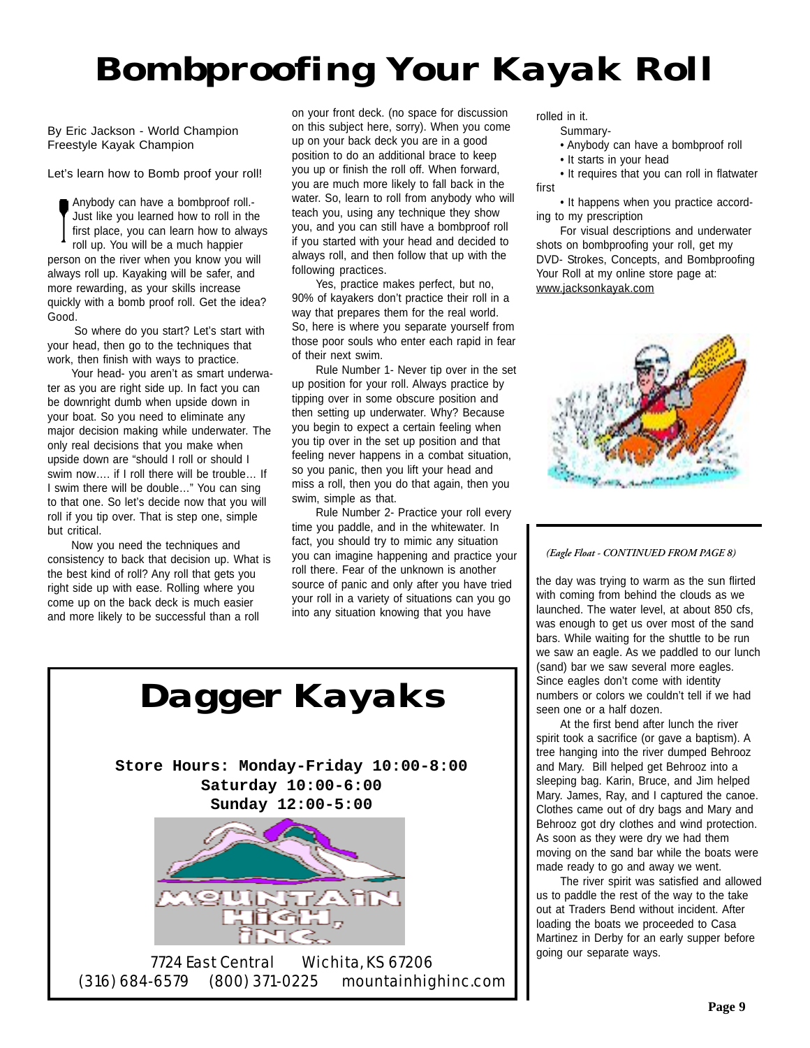# *Bombproofing Your Kayak Roll*

By Eric Jackson - World Champion Freestyle Kayak Champion

Let's learn how to Bomb proof your roll!

Anybody can have a bombproof roll.- Just like you learned how to roll in the first place, you can learn how to always roll up. You will be a much happier person on the river when you know you will always roll up. Kayaking will be safer, and more rewarding, as your skills increase quickly with a bomb proof roll. Get the idea? Good.

 So where do you start? Let's start with your head, then go to the techniques that work, then finish with ways to practice.

Your head- you aren't as smart underwater as you are right side up. In fact you can be downright dumb when upside down in your boat. So you need to eliminate any major decision making while underwater. The only real decisions that you make when upside down are "should I roll or should I swim now…. if I roll there will be trouble… If I swim there will be double…" You can sing to that one. So let's decide now that you will roll if you tip over. That is step one, simple but critical.

Now you need the techniques and consistency to back that decision up. What is the best kind of roll? Any roll that gets you right side up with ease. Rolling where you come up on the back deck is much easier and more likely to be successful than a roll

on your front deck. (no space for discussion on this subject here, sorry). When you come up on your back deck you are in a good position to do an additional brace to keep you up or finish the roll off. When forward, you are much more likely to fall back in the water. So, learn to roll from anybody who will teach you, using any technique they show you, and you can still have a bombproof roll if you started with your head and decided to always roll, and then follow that up with the following practices.

Yes, practice makes perfect, but no, 90% of kayakers don't practice their roll in a way that prepares them for the real world. So, here is where you separate yourself from those poor souls who enter each rapid in fear of their next swim.

Rule Number 1- Never tip over in the set up position for your roll. Always practice by tipping over in some obscure position and then setting up underwater. Why? Because you begin to expect a certain feeling when you tip over in the set up position and that feeling never happens in a combat situation, so you panic, then you lift your head and miss a roll, then you do that again, then you swim, simple as that.

Rule Number 2- Practice your roll every time you paddle, and in the whitewater. In fact, you should try to mimic any situation you can imagine happening and practice your roll there. Fear of the unknown is another source of panic and only after you have tried your roll in a variety of situations can you go into any situation knowing that you have

rolled in it. Summary-

- Anybody can have a bombproof roll
- It starts in your head
- It requires that you can roll in flatwater first

• It happens when you practice according to my prescription

For visual descriptions and underwater shots on bombproofing your roll, get my DVD- Strokes, Concepts, and Bombproofing Your Roll at my online store page at: www.jacksonkayak.com



*(Eagle Float - CONTINUED FROM PAGE 8)*

the day was trying to warm as the sun flirted with coming from behind the clouds as we launched. The water level, at about 850 cfs, was enough to get us over most of the sand bars. While waiting for the shuttle to be run we saw an eagle. As we paddled to our lunch (sand) bar we saw several more eagles. Since eagles don't come with identity numbers or colors we couldn't tell if we had seen one or a half dozen.

At the first bend after lunch the river spirit took a sacrifice (or gave a baptism). A tree hanging into the river dumped Behrooz and Mary. Bill helped get Behrooz into a sleeping bag. Karin, Bruce, and Jim helped Mary. James, Ray, and I captured the canoe. Clothes came out of dry bags and Mary and Behrooz got dry clothes and wind protection. As soon as they were dry we had them moving on the sand bar while the boats were made ready to go and away we went.

The river spirit was satisfied and allowed us to paddle the rest of the way to the take out at Traders Bend without incident. After loading the boats we proceeded to Casa Martinez in Derby for an early supper before going our separate ways.





7724 East Central Wichita, KS 67206 (316) 684-6579 (800) 371-0225 mountainhighinc.com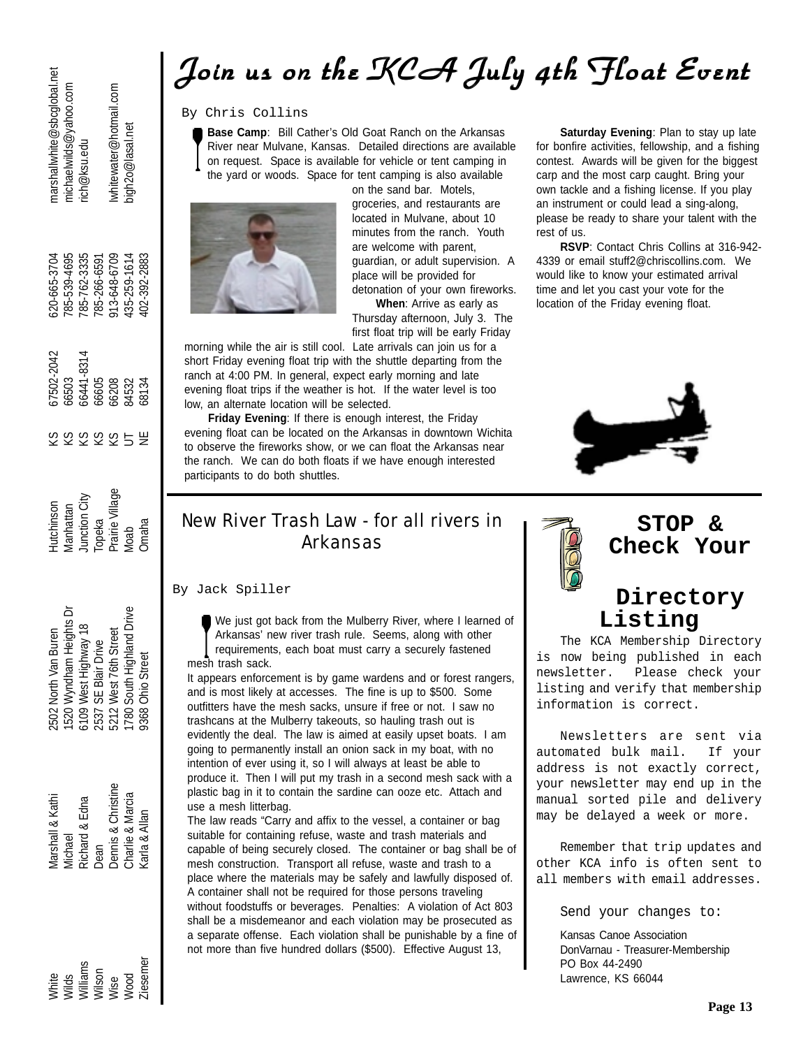## *Join us on the KCA July 4th Float Event Join us on the KCA July 4th Float Event Join us on the KCA July 4th Float Event*

### By Chris Collins

**Base Camp**: Bill Cather's Old Goat Ranch on the Arkansas





groceries, and restaurants are located in Mulvane, about 10 minutes from the ranch. Youth are welcome with parent, guardian, or adult supervision. A place will be provided for detonation of your own fireworks.

**When**: Arrive as early as Thursday afternoon, July 3. The first float trip will be early Friday

morning while the air is still cool. Late arrivals can join us for a short Friday evening float trip with the shuttle departing from the ranch at 4:00 PM. In general, expect early morning and late evening float trips if the weather is hot. If the water level is too low, an alternate location will be selected.

**Friday Evening**: If there is enough interest, the Friday evening float can be located on the Arkansas in downtown Wichita to observe the fireworks show, or we can float the Arkansas near the ranch. We can do both floats if we have enough interested participants to do both shuttles.

**Saturday Evening**: Plan to stay up late for bonfire activities, fellowship, and a fishing contest. Awards will be given for the biggest carp and the most carp caught. Bring your own tackle and a fishing license. If you play an instrument or could lead a sing-along, please be ready to share your talent with the rest of us.

**RSVP**: Contact Chris Collins at 316-942- 4339 or email stuff2@chriscollins.com. We would like to know your estimated arrival time and let you cast your vote for the location of the Friday evening float.



### New River Trash Law - for all rivers in Arkansas

#### By Jack Spiller

We just got back from the Mulberry River, where I learned of Arkansas' new river trash rule. Seems, along with other requirements, each boat must carry a securely fastened mesh trash sack.

It appears enforcement is by game wardens and or forest rangers, and is most likely at accesses. The fine is up to \$500. Some outfitters have the mesh sacks, unsure if free or not. I saw no trashcans at the Mulberry takeouts, so hauling trash out is evidently the deal. The law is aimed at easily upset boats. I am going to permanently install an onion sack in my boat, with no intention of ever using it, so I will always at least be able to produce it. Then I will put my trash in a second mesh sack with a plastic bag in it to contain the sardine can ooze etc. Attach and use a mesh litterbag.

The law reads "Carry and affix to the vessel, a container or bag suitable for containing refuse, waste and trash materials and capable of being securely closed. The container or bag shall be of mesh construction. Transport all refuse, waste and trash to a place where the materials may be safely and lawfully disposed of. A container shall not be required for those persons traveling without foodstuffs or beverages. Penalties: A violation of Act 803 shall be a misdemeanor and each violation may be prosecuted as a separate offense. Each violation shall be punishable by a fine of not more than five hundred dollars (\$500). Effective August 13,



### **STOP & Check Your**

### **Directory Listing**

The KCA Membership Directory is now being published in each newsletter. Please check your listing and verify that membership information is correct.

Newsletters are sent via automated bulk mail. If your address is not exactly correct, your newsletter may end up in the manual sorted pile and delivery may be delayed a week or more.

Remember that trip updates and other KCA info is often sent to all members with email addresses.

Send your changes to:

Kansas Canoe Association DonVarnau - Treasurer-Membership PO Box 44-2490 Lawrence, KS 66044

marshallwhite@sbcglobal.net michaelwilds@yahoo.com whitewater@hotmail.com rich@ksu.edu

bigh2o@lasal.net

913-648-6709 785-539-4695 785-762-3335 435-259-1614 620-665-3704 785-266-6591 02-392-2883

66503<br>66441-8314 7502-2042 66605 66208<br>84532 58134 3838959

Prairie Village **Junction City Aanhattan lutchinson** Topeka Omaha Moab

1780 South Highland Drive 1520 Wyndham Heights Dr 6109 West Highway 18 2502 North Van Buren 5212 West 76th Street 2537 SE Blair Drive 9368 Ohio Street

White Marshall & Kathi 2502 North Van Buren Hutchinson KS 673-2042 620-4204 620-620-620-620-620-620-620-665-3704 Marshallwhite@sbcglobal.net USI Wilds Michael 1520 Wandham Michael 1520 Wandham Heights Dr Manhattan KS 6703 785-539-539-539-539-539-539-6<br>USI Manhattan KS 65-539-539-539-539-539-520 Michaelwilds Dr Manhattan Katalan KS 67-539-539-539-639-539-539-63 USING Dennis Andrew Street Prairies Sons Street Prairie Street Prairie Village KS 6620 913-691 International C<br>USING Street Prairies Sons Street Prairies Street Prairie Village KS 6620 913-621 And Street Prairies Street P Textraser@ord.Sign + 191-652-5257 ASt 378 UT 12 Drive Moab UT 8460M and Dright Hindo OSCL 1780 435-252 435-259-1614 bigh2om Drive Model Drive Model And Drive Model And Drive Model And Drive Model And Drive Model And Drive Williams Richard & Edna 6109-41-83-41-631-41-631 West Highway 18 Junction City KS 661-9<br>Williams Richard 2014-8315 797-821-41-8314 785-762-762-814 796-814 796-814 796-81-845-762-81-845-762-762-81-81 Ziesemer Karla & Allan 9368 Ohio Street Omaha NE 68134 402-392-2883Wilson Dean Dean 2537 SE Blair Drive Topeka KS 66605 785-266-6591 Dennis & Christine Charlie & Marcia *Marshall & Kathi* Richard & Edna Carla & Allan Viichael Dean

**Ziesemer** White<br>Wilds<br>Williams<br>Wilson Wood Mise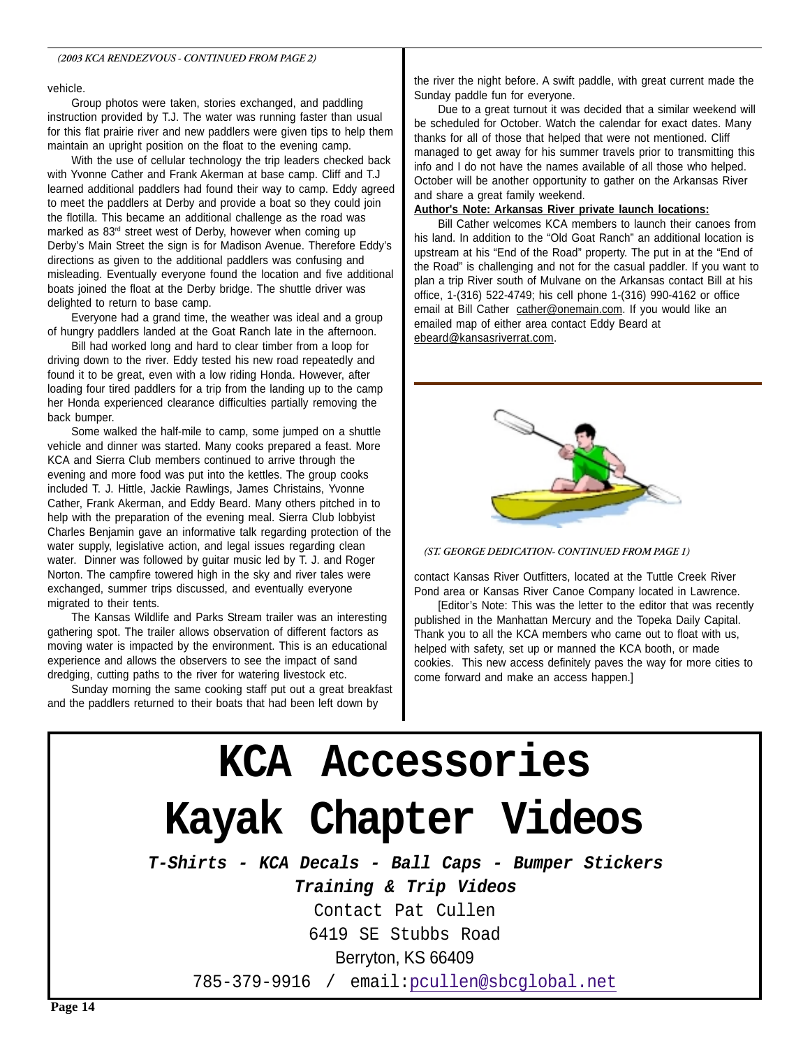#### vehicle.

Group photos were taken, stories exchanged, and paddling instruction provided by T.J. The water was running faster than usual for this flat prairie river and new paddlers were given tips to help them maintain an upright position on the float to the evening camp.

With the use of cellular technology the trip leaders checked back with Yvonne Cather and Frank Akerman at base camp. Cliff and T.J learned additional paddlers had found their way to camp. Eddy agreed to meet the paddlers at Derby and provide a boat so they could join the flotilla. This became an additional challenge as the road was marked as 83rd street west of Derby, however when coming up Derby's Main Street the sign is for Madison Avenue. Therefore Eddy's directions as given to the additional paddlers was confusing and misleading. Eventually everyone found the location and five additional boats joined the float at the Derby bridge. The shuttle driver was delighted to return to base camp.

Everyone had a grand time, the weather was ideal and a group of hungry paddlers landed at the Goat Ranch late in the afternoon.

Bill had worked long and hard to clear timber from a loop for driving down to the river. Eddy tested his new road repeatedly and found it to be great, even with a low riding Honda. However, after loading four tired paddlers for a trip from the landing up to the camp her Honda experienced clearance difficulties partially removing the back bumper.

Some walked the half-mile to camp, some jumped on a shuttle vehicle and dinner was started. Many cooks prepared a feast. More KCA and Sierra Club members continued to arrive through the evening and more food was put into the kettles. The group cooks included T. J. Hittle, Jackie Rawlings, James Christains, Yvonne Cather, Frank Akerman, and Eddy Beard. Many others pitched in to help with the preparation of the evening meal. Sierra Club lobbyist Charles Benjamin gave an informative talk regarding protection of the water supply, legislative action, and legal issues regarding clean water. Dinner was followed by guitar music led by T. J. and Roger Norton. The campfire towered high in the sky and river tales were exchanged, summer trips discussed, and eventually everyone migrated to their tents.

The Kansas Wildlife and Parks Stream trailer was an interesting gathering spot. The trailer allows observation of different factors as moving water is impacted by the environment. This is an educational experience and allows the observers to see the impact of sand dredging, cutting paths to the river for watering livestock etc.

Sunday morning the same cooking staff put out a great breakfast and the paddlers returned to their boats that had been left down by

the river the night before. A swift paddle, with great current made the Sunday paddle fun for everyone.

Due to a great turnout it was decided that a similar weekend will be scheduled for October. Watch the calendar for exact dates. Many thanks for all of those that helped that were not mentioned. Cliff managed to get away for his summer travels prior to transmitting this info and I do not have the names available of all those who helped. October will be another opportunity to gather on the Arkansas River and share a great family weekend.

#### **Author's Note: Arkansas River private launch locations:**

Bill Cather welcomes KCA members to launch their canoes from his land. In addition to the "Old Goat Ranch" an additional location is upstream at his "End of the Road" property. The put in at the "End of the Road" is challenging and not for the casual paddler. If you want to plan a trip River south of Mulvane on the Arkansas contact Bill at his office, 1-(316) 522-4749; his cell phone 1-(316) 990-4162 or office email at Bill Cather cather@onemain.com. If you would like an emailed map of either area contact Eddy Beard at ebeard@kansasriverrat.com.



*(ST. GEORGE DEDICATION- CONTINUED FROM PAGE 1)*

contact Kansas River Outfitters, located at the Tuttle Creek River Pond area or Kansas River Canoe Company located in Lawrence.

[Editor's Note: This was the letter to the editor that was recently published in the Manhattan Mercury and the Topeka Daily Capital. Thank you to all the KCA members who came out to float with us, helped with safety, set up or manned the KCA booth, or made cookies. This new access definitely paves the way for more cities to come forward and make an access happen.]

### **KCA Accessories Kayak Chapter Videos T-Shirts - KCA Decals - Ball Caps - Bumper Stickers Training & Trip Videos** Contact Pat Cullen 6419 SE Stubbs Road Berryton, KS 66409 785-379-9916 / email:pcullen@sbcglobal.net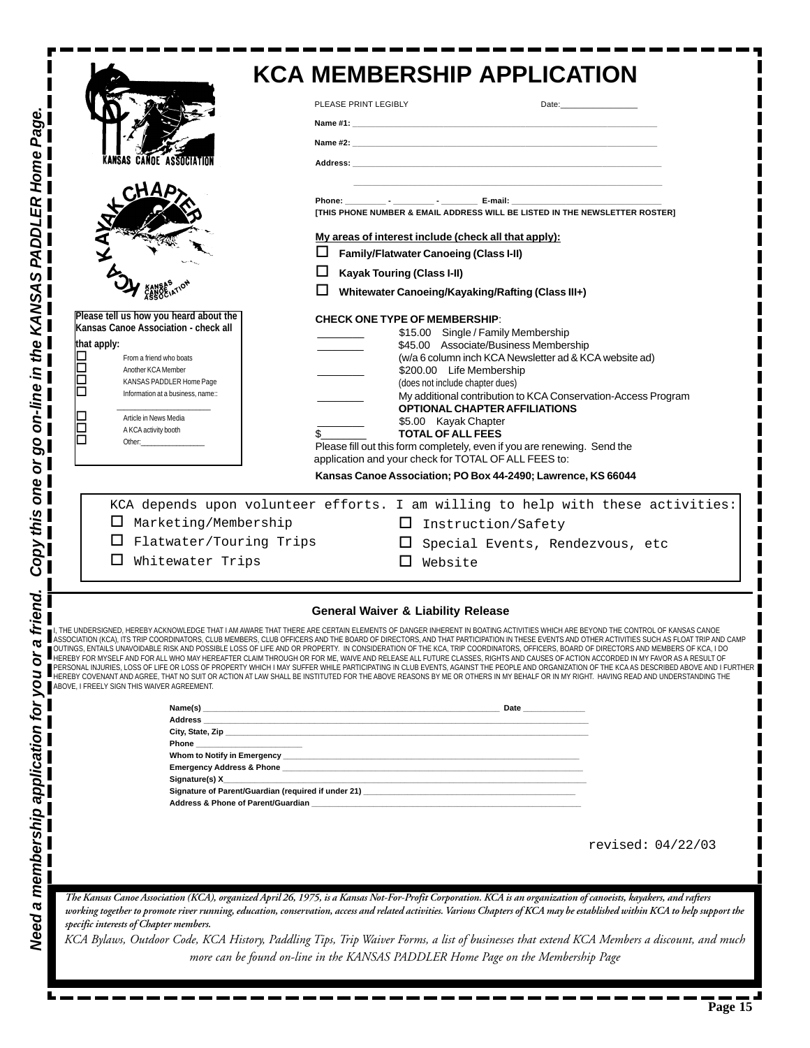| <b>KCA MEMBERSHIP APPLICATION</b>                                                                                                                                                                                                                                                                                                                                                                                                                                                                                                                                                                                                                                                                                                                                                                                                                                                                                                                                                                                                                                                                                                               |                                                                                                                                                                                                                                                                                                                                                                                                                                                                                                                                                                                                                                                                                                                                                                                |                                                                                                                                                                                                                               |
|-------------------------------------------------------------------------------------------------------------------------------------------------------------------------------------------------------------------------------------------------------------------------------------------------------------------------------------------------------------------------------------------------------------------------------------------------------------------------------------------------------------------------------------------------------------------------------------------------------------------------------------------------------------------------------------------------------------------------------------------------------------------------------------------------------------------------------------------------------------------------------------------------------------------------------------------------------------------------------------------------------------------------------------------------------------------------------------------------------------------------------------------------|--------------------------------------------------------------------------------------------------------------------------------------------------------------------------------------------------------------------------------------------------------------------------------------------------------------------------------------------------------------------------------------------------------------------------------------------------------------------------------------------------------------------------------------------------------------------------------------------------------------------------------------------------------------------------------------------------------------------------------------------------------------------------------|-------------------------------------------------------------------------------------------------------------------------------------------------------------------------------------------------------------------------------|
|                                                                                                                                                                                                                                                                                                                                                                                                                                                                                                                                                                                                                                                                                                                                                                                                                                                                                                                                                                                                                                                                                                                                                 | PLEASE PRINT LEGIBLY                                                                                                                                                                                                                                                                                                                                                                                                                                                                                                                                                                                                                                                                                                                                                           | Date: and the contract of the contract of the contract of the contract of the contract of the contract of the contract of the contract of the contract of the contract of the contract of the contract of the contract of the |
|                                                                                                                                                                                                                                                                                                                                                                                                                                                                                                                                                                                                                                                                                                                                                                                                                                                                                                                                                                                                                                                                                                                                                 |                                                                                                                                                                                                                                                                                                                                                                                                                                                                                                                                                                                                                                                                                                                                                                                |                                                                                                                                                                                                                               |
| OE ASSOCIATIO                                                                                                                                                                                                                                                                                                                                                                                                                                                                                                                                                                                                                                                                                                                                                                                                                                                                                                                                                                                                                                                                                                                                   |                                                                                                                                                                                                                                                                                                                                                                                                                                                                                                                                                                                                                                                                                                                                                                                |                                                                                                                                                                                                                               |
|                                                                                                                                                                                                                                                                                                                                                                                                                                                                                                                                                                                                                                                                                                                                                                                                                                                                                                                                                                                                                                                                                                                                                 |                                                                                                                                                                                                                                                                                                                                                                                                                                                                                                                                                                                                                                                                                                                                                                                |                                                                                                                                                                                                                               |
|                                                                                                                                                                                                                                                                                                                                                                                                                                                                                                                                                                                                                                                                                                                                                                                                                                                                                                                                                                                                                                                                                                                                                 | [THIS PHONE NUMBER & EMAIL ADDRESS WILL BE LISTED IN THE NEWSLETTER ROSTER]                                                                                                                                                                                                                                                                                                                                                                                                                                                                                                                                                                                                                                                                                                    |                                                                                                                                                                                                                               |
|                                                                                                                                                                                                                                                                                                                                                                                                                                                                                                                                                                                                                                                                                                                                                                                                                                                                                                                                                                                                                                                                                                                                                 | My areas of interest include (check all that apply):                                                                                                                                                                                                                                                                                                                                                                                                                                                                                                                                                                                                                                                                                                                           |                                                                                                                                                                                                                               |
|                                                                                                                                                                                                                                                                                                                                                                                                                                                                                                                                                                                                                                                                                                                                                                                                                                                                                                                                                                                                                                                                                                                                                 | <b>Family/Flatwater Canoeing (Class I-II)</b>                                                                                                                                                                                                                                                                                                                                                                                                                                                                                                                                                                                                                                                                                                                                  |                                                                                                                                                                                                                               |
|                                                                                                                                                                                                                                                                                                                                                                                                                                                                                                                                                                                                                                                                                                                                                                                                                                                                                                                                                                                                                                                                                                                                                 | <b>Kayak Touring (Class I-II)</b><br>Whitewater Canoeing/Kayaking/Rafting (Class III+)                                                                                                                                                                                                                                                                                                                                                                                                                                                                                                                                                                                                                                                                                         |                                                                                                                                                                                                                               |
| Please tell us how you heard about the<br>Kansas Canoe Association - check all<br>that apply:<br>From a friend who boats<br>Another KCA Member<br>KANSAS PADDLER Home Page<br>Information at a business, name::<br>Article in News Media<br>A KCA activity booth<br>Other:<br>$\Box$ Marketing/Membership<br>Flatwater/Touring Trips<br>Whitewater Trips                                                                                                                                                                                                                                                                                                                                                                                                                                                                                                                                                                                                                                                                                                                                                                                        | <b>CHECK ONE TYPE OF MEMBERSHIP:</b><br>\$15.00 Single / Family Membership<br>\$45.00 Associate/Business Membership<br>(w/a 6 column inch KCA Newsletter ad & KCA website ad)<br>\$200.00 Life Membership<br>(does not include chapter dues)<br>My additional contribution to KCA Conservation-Access Program<br><b>OPTIONAL CHAPTER AFFILIATIONS</b><br>\$5.00 Kayak Chapter<br><b>TOTAL OF ALL FEES</b><br>Please fill out this form completely, even if you are renewing. Send the<br>application and your check for TOTAL OF ALL FEES to:<br>Kansas Canoe Association; PO Box 44-2490; Lawrence, KS 66044<br>KCA depends upon volunteer efforts. I am willing to help with these activities:<br>⊔<br>Instruction/Safety<br>ப<br>Special Events, Rendezvous, etc<br>Website |                                                                                                                                                                                                                               |
| <b>General Waiver &amp; Liability Release</b><br>I, THE UNDERSIGNED, HEREBY ACKNOWLEDGE THAT I AM AWARE THAT THERE ARE CERTAIN ELEMENTS OF DANGER INHERENT IN BOATING ACTIVITIES WHICH ARE BEYOND THE CONTROL OF KANSAS CANOE<br>ASSOCIATION (KCA), ITS TRIP COORDINATORS, CLUB MEMBERS, CLUB OFFICERS AND THE BOARD OF DIRECTORS, AND THAT PARTICIPATION IN THESE EVENTS AND OTHER ACTIVITIES SUCH AS FLOAT TRIP AND CAMP<br>POSSIBLE LOSS OF LIFE AND OR PROPERTY. IN CONSIDERATION OF THE KCA, TRIP COORDINATORS, OFFICERS, BOARD OF DIRECTORS AND MEMBERS OF KCA, I DO<br>HEREBY FOR MYSELF AND FOR ALL WHO MAY HEREAFTER CLAIM THROUGH OR FOR ME, WAIVE AND RELEASE ALL FUTURE CLASSES, RIGHTS AND CAUSES OF ACTION ACCORDED IN MY FAVOR AS A RESULT OF<br>PERSONAL INJURIES, LOSS OF LIFE OR LOSS OF PROPERTY WHICH I MAY SUFFER WHILE PARTICIPATING IN CLUB EVENTS, AGAINST THE PEOPLE AND ORGANIZATION OF THE KCA AS DESCRIBED ABOVE AND I FURTHER<br>HEREBY COVENANT AND AGREE, THAT NO SUIT OR ACTION AT LAW SHALL BE INSTITUTED FOR THE ABOVE REASONS BY ME OR OTHERS IN MY BEHALF OR IN MY RIGHT. HAVING READ AND UNDERSTANDING THE |                                                                                                                                                                                                                                                                                                                                                                                                                                                                                                                                                                                                                                                                                                                                                                                |                                                                                                                                                                                                                               |
| ABOVE, I FREELY SIGN THIS WAIVER AGREEMENT.<br>Name(s)                                                                                                                                                                                                                                                                                                                                                                                                                                                                                                                                                                                                                                                                                                                                                                                                                                                                                                                                                                                                                                                                                          |                                                                                                                                                                                                                                                                                                                                                                                                                                                                                                                                                                                                                                                                                                                                                                                |                                                                                                                                                                                                                               |
|                                                                                                                                                                                                                                                                                                                                                                                                                                                                                                                                                                                                                                                                                                                                                                                                                                                                                                                                                                                                                                                                                                                                                 |                                                                                                                                                                                                                                                                                                                                                                                                                                                                                                                                                                                                                                                                                                                                                                                |                                                                                                                                                                                                                               |
| Address & Phone of Parent/Guardian ___________________                                                                                                                                                                                                                                                                                                                                                                                                                                                                                                                                                                                                                                                                                                                                                                                                                                                                                                                                                                                                                                                                                          |                                                                                                                                                                                                                                                                                                                                                                                                                                                                                                                                                                                                                                                                                                                                                                                |                                                                                                                                                                                                                               |
|                                                                                                                                                                                                                                                                                                                                                                                                                                                                                                                                                                                                                                                                                                                                                                                                                                                                                                                                                                                                                                                                                                                                                 |                                                                                                                                                                                                                                                                                                                                                                                                                                                                                                                                                                                                                                                                                                                                                                                |                                                                                                                                                                                                                               |
|                                                                                                                                                                                                                                                                                                                                                                                                                                                                                                                                                                                                                                                                                                                                                                                                                                                                                                                                                                                                                                                                                                                                                 |                                                                                                                                                                                                                                                                                                                                                                                                                                                                                                                                                                                                                                                                                                                                                                                | revised: 04/22/03                                                                                                                                                                                                             |
| The Kansas Canoe Association (KCA), organized April 26, 1975, is a Kansas Not-For-Profit Corporation. KCA is an organization of canoeists, kayakers, and rafters<br>working together to promote river running, education, conservation, access and related activities. Various Chapters of KCA may be established within KCA to help support the<br>specific interests of Chapter members.<br>KCA Bylaws, Outdoor Code, KCA History, Paddling Tips, Trip Waiver Forms, a list of businesses that extend KCA Members a discount, and much<br>more can be found on-line in the KANSAS PADDLER Home Page on the Membership Page                                                                                                                                                                                                                                                                                                                                                                                                                                                                                                                    |                                                                                                                                                                                                                                                                                                                                                                                                                                                                                                                                                                                                                                                                                                                                                                                |                                                                                                                                                                                                                               |

*Need a membership application for you or a friend. Copy this one or go on-line in the KANSAS PADDLER Home Page.*

**Page 15**